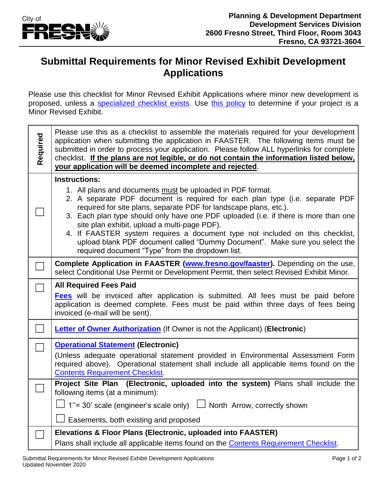

## **Submittal Requirements for Minor Revised Exhibit Development Applications**

Please use this checklist for Minor Revised Exhibit Applications where minor new development is proposed, unless a [specialized checklist exists.](https://www.fresno.gov/darm/planning-development/applications-forms-fees/#tab-02) Use [this policy](https://www.fresno.gov/darm/wp-content/uploads/sites/10/2019/01/G-003-Amending-Previously-Approved-Entitlements.pdf) to determine if your project is a Minor Revised Exhibit.

| Required | Please use this as a checklist to assemble the materials required for your development<br>application when submitting the application in FAASTER. The following items must be<br>submitted in order to process your application. Please follow ALL hyperlinks for complete<br>checklist. If the plans are not legible, or do not contain the information listed below,<br>your application will be deemed incomplete and rejected.                                                                                                                                                                 |
|----------|----------------------------------------------------------------------------------------------------------------------------------------------------------------------------------------------------------------------------------------------------------------------------------------------------------------------------------------------------------------------------------------------------------------------------------------------------------------------------------------------------------------------------------------------------------------------------------------------------|
|          | <b>Instructions:</b><br>1. All plans and documents must be uploaded in PDF format.<br>2. A separate PDF document is required for each plan type (i.e. separate PDF<br>required for site plans, separate PDF for landscape plans, etc.).<br>3. Each plan type should only have one PDF uploaded (i.e. if there is more than one<br>site plan exhibit, upload a multi-page PDF).<br>4. If FAASTER system requires a document type not included on this checklist,<br>upload blank PDF document called "Dummy Document". Make sure you select the<br>required document "Type" from the dropdown list. |
|          | Complete Application in FAASTER (www.fresno.gov/faaster). Depending on the use,<br>select Conditional Use Permit or Development Permit, then select Revised Exhibit Minor.                                                                                                                                                                                                                                                                                                                                                                                                                         |
|          | <b>All Required Fees Paid</b><br><b>Fees</b> will be invoiced after application is submitted. All fees must be paid before<br>application is deemed complete. Fees must be paid within three days of fees being<br>invoiced (e-mail will be sent).                                                                                                                                                                                                                                                                                                                                                 |
|          | <b>Letter of Owner Authorization</b> (If Owner is not the Applicant) (Electronic)                                                                                                                                                                                                                                                                                                                                                                                                                                                                                                                  |
|          | <b>Operational Statement (Electronic)</b><br>(Unless adequate operational statement provided in Environmental Assessment Form<br>required above). Operational statement shall include all applicable items found on the<br><b>Contents Requirement Checklist.</b>                                                                                                                                                                                                                                                                                                                                  |
|          | Project Site Plan (Electronic, uploaded into the system) Plans shall include the<br>following items (at a minimum):<br>$\perp$ 1"= 30' scale (engineer's scale only) $\perp$ North Arrow, correctly shown<br>Easements, both existing and proposed                                                                                                                                                                                                                                                                                                                                                 |
|          | Elevations & Floor Plans (Electronic, uploaded into FAASTER)<br>Plans shall include all applicable items found on the Contents Requirement Checklist.                                                                                                                                                                                                                                                                                                                                                                                                                                              |